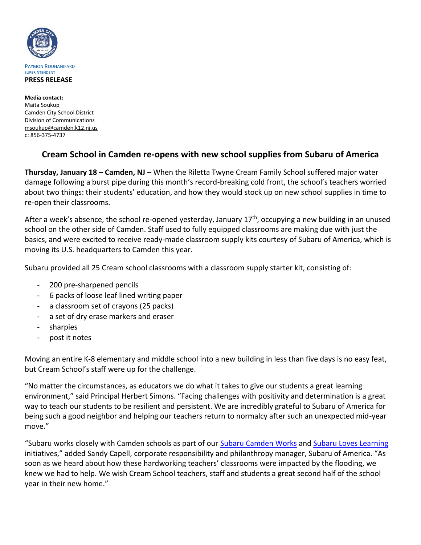

**Media contact:** Maita Soukup Camden City School District Division of Communications [msoukup@camden.k12.nj.us](mailto:msoukup@camden.k12.nj.us) c: 856-375-4737

## **Cream School in Camden re-opens with new school supplies from Subaru of America**

**Thursday, January 18 – Camden, NJ** – When the Riletta Twyne Cream Family School suffered major water damage following a burst pipe during this month's record-breaking cold front, the school's teachers worried about two things: their students' education, and how they would stock up on new school supplies in time to re-open their classrooms.

After a week's absence, the school re-opened yesterday, January  $17<sup>th</sup>$ , occupying a new building in an unused school on the other side of Camden. Staff used to fully equipped classrooms are making due with just the basics, and were excited to receive ready-made classroom supply kits courtesy of Subaru of America, which is moving its U.S. headquarters to Camden this year.

Subaru provided all 25 Cream school classrooms with a classroom supply starter kit, consisting of:

- 200 pre-sharpened pencils
- 6 packs of loose leaf lined writing paper
- a classroom set of crayons (25 packs)
- a set of dry erase markers and eraser
- sharpies
- post it notes

Moving an entire K-8 elementary and middle school into a new building in less than five days is no easy feat, but Cream School's staff were up for the challenge.

"No matter the circumstances, as educators we do what it takes to give our students a great learning environment," said Principal Herbert Simons. "Facing challenges with positivity and determination is a great way to teach our students to be resilient and persistent. We are incredibly grateful to Subaru of America for being such a good neighbor and helping our teachers return to normalcy after such an unexpected mid-year move."

"Subaru works closely with Camden schools as part of our [Subaru Camden Works](https://urldefense.proofpoint.com/v2/url?u=http-3A__media.subaru.com_pressrelease_1134_122_subaru-2Damerica-2Dannounces-2Dcommitment-2Dcamden-2Dvia-2Dnew-2Dsubaru&d=DwMGaQ&c=uVBC5aaqdp04wbCmyXNuQqcl6-HHVF3q1DNb_Pgp7v8&r=PlwrW_UeICWL4nQUs6s4czL4DymDDR3VhchM7Y5uR3E&m=n8a_9fwR8M47oN_Nv57JuAo6usuP8a8fYOJSfTJnFi4&s=yAKef1r6xIA_A4w7YQJKA6kznNb3nmxIoDUu64dh2Oo&e=) an[d Subaru Loves Learning](https://urldefense.proofpoint.com/v2/url?u=https-3A__www.subaru.com_education_education-2Dcauses.html&d=DwMGaQ&c=uVBC5aaqdp04wbCmyXNuQqcl6-HHVF3q1DNb_Pgp7v8&r=PlwrW_UeICWL4nQUs6s4czL4DymDDR3VhchM7Y5uR3E&m=n8a_9fwR8M47oN_Nv57JuAo6usuP8a8fYOJSfTJnFi4&s=EIdc6K0QdqckwphgRx0xrkv60mGix2dbZLjrGvVJl-o&e=) initiatives," added Sandy Capell, corporate responsibility and philanthropy manager, Subaru of America. "As soon as we heard about how these hardworking teachers' classrooms were impacted by the flooding, we knew we had to help. We wish Cream School teachers, staff and students a great second half of the school year in their new home."